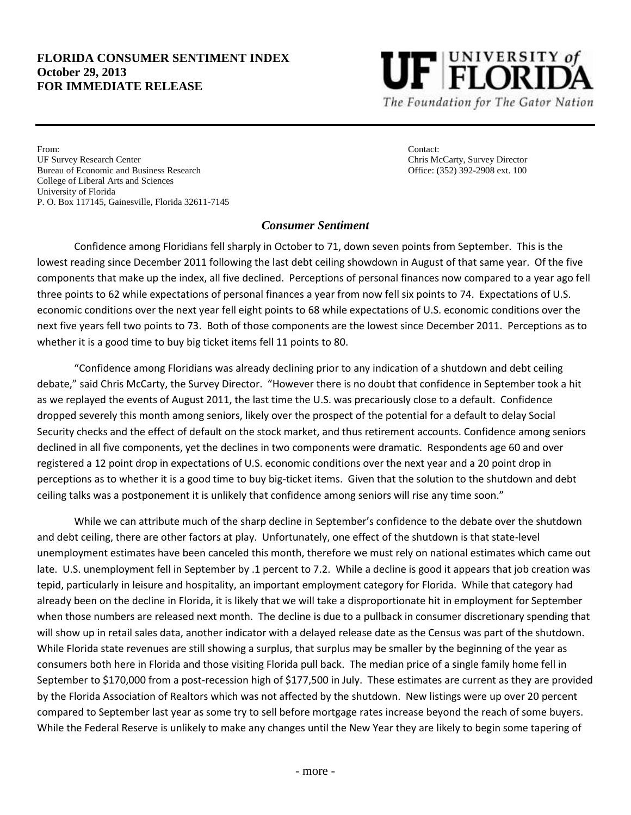#### **FLORIDA CONSUMER SENTIMENT INDEX October 29, 2013 FOR IMMEDIATE RELEASE**



From: Contact: UF Survey Research Center Chris McCarty, Survey Director Bureau of Economic and Business Research Office: (352) 392-2908 ext. 100 College of Liberal Arts and Sciences University of Florida P. O. Box 117145, Gainesville, Florida 32611-7145

### *Consumer Sentiment*

Confidence among Floridians fell sharply in October to 71, down seven points from September. This is the lowest reading since December 2011 following the last debt ceiling showdown in August of that same year. Of the five components that make up the index, all five declined. Perceptions of personal finances now compared to a year ago fell three points to 62 while expectations of personal finances a year from now fell six points to 74. Expectations of U.S. economic conditions over the next year fell eight points to 68 while expectations of U.S. economic conditions over the next five years fell two points to 73. Both of those components are the lowest since December 2011. Perceptions as to whether it is a good time to buy big ticket items fell 11 points to 80.

"Confidence among Floridians was already declining prior to any indication of a shutdown and debt ceiling debate," said Chris McCarty, the Survey Director. "However there is no doubt that confidence in September took a hit as we replayed the events of August 2011, the last time the U.S. was precariously close to a default. Confidence dropped severely this month among seniors, likely over the prospect of the potential for a default to delay Social Security checks and the effect of default on the stock market, and thus retirement accounts. Confidence among seniors declined in all five components, yet the declines in two components were dramatic. Respondents age 60 and over registered a 12 point drop in expectations of U.S. economic conditions over the next year and a 20 point drop in perceptions as to whether it is a good time to buy big-ticket items. Given that the solution to the shutdown and debt ceiling talks was a postponement it is unlikely that confidence among seniors will rise any time soon."

While we can attribute much of the sharp decline in September's confidence to the debate over the shutdown and debt ceiling, there are other factors at play. Unfortunately, one effect of the shutdown is that state-level unemployment estimates have been canceled this month, therefore we must rely on national estimates which came out late. U.S. unemployment fell in September by .1 percent to 7.2. While a decline is good it appears that job creation was tepid, particularly in leisure and hospitality, an important employment category for Florida. While that category had already been on the decline in Florida, it is likely that we will take a disproportionate hit in employment for September when those numbers are released next month. The decline is due to a pullback in consumer discretionary spending that will show up in retail sales data, another indicator with a delayed release date as the Census was part of the shutdown. While Florida state revenues are still showing a surplus, that surplus may be smaller by the beginning of the year as consumers both here in Florida and those visiting Florida pull back. The median price of a single family home fell in September to \$170,000 from a post-recession high of \$177,500 in July. These estimates are current as they are provided by the Florida Association of Realtors which was not affected by the shutdown. New listings were up over 20 percent compared to September last year as some try to sell before mortgage rates increase beyond the reach of some buyers. While the Federal Reserve is unlikely to make any changes until the New Year they are likely to begin some tapering of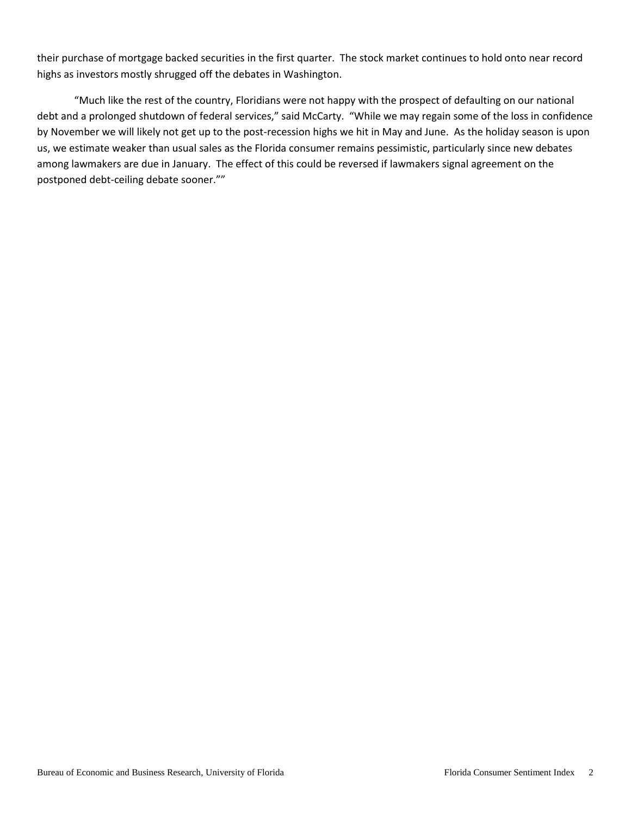their purchase of mortgage backed securities in the first quarter. The stock market continues to hold onto near record highs as investors mostly shrugged off the debates in Washington.

"Much like the rest of the country, Floridians were not happy with the prospect of defaulting on our national debt and a prolonged shutdown of federal services," said McCarty. "While we may regain some of the loss in confidence by November we will likely not get up to the post-recession highs we hit in May and June. As the holiday season is upon us, we estimate weaker than usual sales as the Florida consumer remains pessimistic, particularly since new debates among lawmakers are due in January. The effect of this could be reversed if lawmakers signal agreement on the postponed debt-ceiling debate sooner.""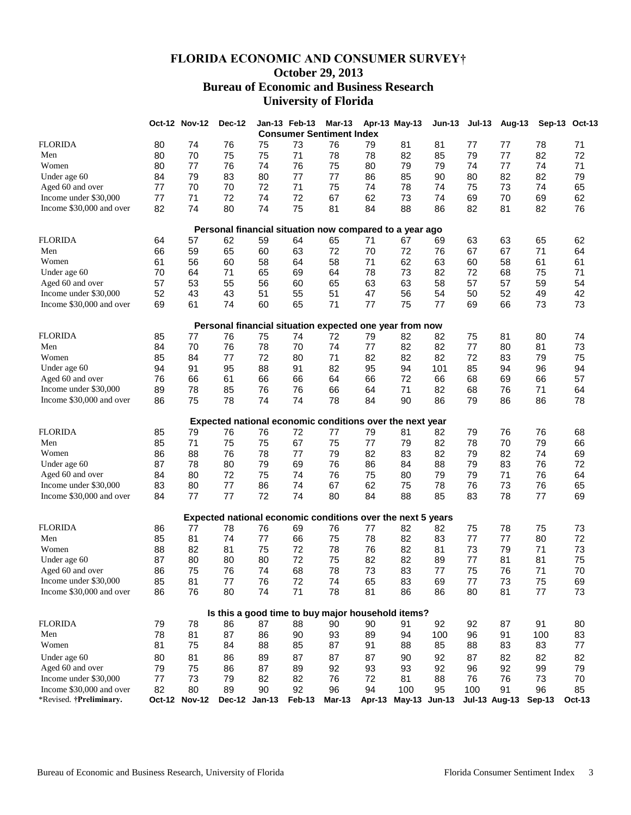# **FLORIDA ECONOMIC AND CONSUMER SURVEY† October 29, 2013 Bureau of Economic and Business Research University of Florida**

|                                                         |    | <b>Oct-12 Nov-12</b> | Dec-12        |    | Jan-13 Feb-13 | <b>Mar-13</b>                                               |        | Apr-13 May-13 | <b>Jun-13</b> | <b>Jul-13</b> | Aug-13               |          | Sep-13 Oct-13 |
|---------------------------------------------------------|----|----------------------|---------------|----|---------------|-------------------------------------------------------------|--------|---------------|---------------|---------------|----------------------|----------|---------------|
| <b>Consumer Sentiment Index</b>                         |    |                      |               |    |               |                                                             |        |               |               |               |                      |          |               |
| <b>FLORIDA</b>                                          | 80 | 74                   | 76            | 75 | 73            | 76                                                          | 79     | 81            | 81            | 77            | 77                   | 78       | 71            |
| Men                                                     | 80 | 70                   | 75            | 75 | 71            | 78                                                          | 78     | 82            | 85            | 79            | 77                   | 82       | 72            |
| Women                                                   | 80 | 77                   | 76            | 74 | 76            | 75                                                          | 80     | 79            | 79            | 74            | 77                   | 74       | 71            |
| Under age 60                                            | 84 | 79                   | 83            | 80 | 77            | 77                                                          | 86     | 85            | 90            | 80            | 82                   | 82       | 79            |
| Aged 60 and over                                        | 77 | 70                   | 70            | 72 | 71            | 75                                                          | 74     | 78            | 74            | 75            | 73                   | 74       | 65            |
| Income under \$30,000                                   | 77 | 71                   | 72            | 74 | 72            | 67                                                          | 62     | 73            | 74            | 69            | 70                   | 69       | 62            |
| Income \$30,000 and over                                | 82 | 74                   | 80            | 74 | 75            | 81                                                          | 84     | 88            | 86            | 82            | 81                   | 82       | 76            |
|                                                         |    |                      |               |    |               |                                                             |        |               |               |               |                      |          |               |
| Personal financial situation now compared to a year ago |    |                      |               |    |               |                                                             |        |               |               |               |                      |          |               |
| <b>FLORIDA</b>                                          | 64 | 57                   | 62            | 59 | 64            | 65                                                          | 71     | 67            | 69            | 63            | 63                   | 65       | 62            |
| Men                                                     | 66 | 59                   | 65            | 60 | 63            | 72                                                          | 70     | 72            | 76            | 67            | 67                   | 71       | 64            |
| Women                                                   | 61 | 56                   | 60            | 58 | 64            | 58                                                          | 71     | 62            | 63            | 60            | 58                   | 61       | 61            |
| Under age 60                                            | 70 | 64                   | 71            | 65 | 69            | 64                                                          | 78     | 73            | 82            | 72            | 68                   | 75       | 71            |
| Aged 60 and over                                        | 57 | 53                   | 55            | 56 | 60            | 65                                                          | 63     | 63            | 58            | 57            | 57                   | 59       | 54            |
| Income under \$30,000                                   | 52 | 43                   | 43            | 51 | 55            | 51                                                          | 47     | 56            | 54            | 50            | 52                   | 49       | 42            |
| Income \$30,000 and over                                | 69 | 61                   | 74            | 60 | 65            | 71                                                          | 77     | 75            | 77            | 69            | 66                   | 73       | 73            |
|                                                         |    |                      |               |    |               | Personal financial situation expected one year from now     |        |               |               |               |                      |          |               |
| <b>FLORIDA</b>                                          | 85 | 77                   | 76            | 75 | 74            | 72                                                          | 79     | 82            | 82            | 75            | 81                   | 80       | 74            |
| Men                                                     | 84 | 70                   | 76            | 78 | 70            | 74                                                          | 77     | 82            | 82            | 77            | 80                   | 81       | 73            |
| Women                                                   | 85 | 84                   | 77            | 72 | 80            | 71                                                          | 82     | 82            | 82            | 72            | 83                   | 79       | 75            |
| Under age 60                                            | 94 | 91                   | 95            | 88 | 91            | 82                                                          | 95     | 94            | 101           | 85            | 94                   | 96       | 94            |
| Aged 60 and over                                        | 76 | 66                   | 61            | 66 | 66            | 64                                                          | 66     | 72            | 66            | 68            | 69                   | 66       | 57            |
| Income under \$30,000                                   | 89 | 78                   | 85            | 76 | 76            | 66                                                          | 64     | 71            | 82            | 68            | 76                   | 71       | 64            |
| Income \$30,000 and over                                |    | 75                   | 78            | 74 | 74            | 78                                                          |        | 90            |               | 79            |                      | 86       |               |
|                                                         | 86 |                      |               |    |               |                                                             | 84     |               | 86            |               | 86                   |          | 78            |
|                                                         |    |                      |               |    |               | Expected national economic conditions over the next year    |        |               |               |               |                      |          |               |
| <b>FLORIDA</b>                                          | 85 | 79                   | 76            | 76 | 72            | 77                                                          | 79     | 81            | 82            | 79            | 76                   | 76       | 68            |
| Men                                                     | 85 | 71                   | 75            | 75 | 67            | 75                                                          | 77     | 79            | 82            | 78            | 70                   | 79       | 66            |
| Women                                                   | 86 | 88                   | 76            | 78 | 77            | 79                                                          | 82     | 83            | 82            | 79            | 82                   | 74       | 69            |
| Under age 60                                            | 87 | 78                   | 80            | 79 | 69            | 76                                                          | 86     | 84            | 88            | 79            | 83                   | 76       | 72            |
| Aged 60 and over                                        | 84 | 80                   | 72            | 75 | 74            | 76                                                          | 75     | 80            | 79            | 79            | 71                   | 76       | 64            |
| Income under \$30,000                                   | 83 | 80                   | 77            | 86 | 74            | 67                                                          | 62     | 75            | 78            | 76            | 73                   | 76       | 65            |
| Income \$30,000 and over                                | 84 | 77                   | 77            | 72 | 74            | 80                                                          | 84     | 88            | 85            | 83            | 78                   | 77       | 69            |
|                                                         |    |                      |               |    |               |                                                             |        |               |               |               |                      |          |               |
|                                                         |    |                      |               |    |               | Expected national economic conditions over the next 5 years |        |               |               |               |                      |          |               |
| <b>FLORIDA</b>                                          | 86 | 77                   | 78            | 76 | 69            | 76                                                          | 77     | 82            | 82            | 75            | 78                   | 75       | 73            |
| Men                                                     | 85 | 81                   | 74            | 77 | 66            | 75                                                          | 78     | 82            | 83            | 77            | 77                   | 80       | 72            |
| Women                                                   | 88 | 82                   | 81            | 75 | 72            | 78                                                          | 76     | 82            | 81            | 73            | 79                   | 71       | 73            |
| Under age 60                                            | 87 | 80                   | 80            | 80 | 72            | 75                                                          | 82     | 82            | 89            | 77            | 81                   | 81       | 75            |
| Aged 60 and over                                        | 86 | 75                   | 76            | 74 | 68            | 78                                                          | 73     | 83            | 77            | 75            | 76                   | 71       | 70            |
| Income under \$30,000                                   | 85 | 81                   | $77 \,$       | 76 | 72            | 74                                                          | 65     | 83            | 69            | 77            | 73                   | 75       | 69            |
| Income \$30,000 and over                                | 86 | 76                   | 80            | 74 | 71            | 78                                                          | 81     | 86            | 86            | 80            | 81                   | 77       | 73            |
|                                                         |    |                      |               |    |               | Is this a good time to buy major household items?           |        |               |               |               |                      |          |               |
| <b>FLORIDA</b>                                          | 79 | 78                   | 86            | 87 | 88            | 90                                                          | 90     | 91            | 92            | 92            | 87                   | 91       | 80            |
| Men                                                     | 78 | 81                   | 87            | 86 | 90            | 93                                                          | 89     | 94            | 100           | 96            | 91                   | 100      | 83            |
| Women                                                   | 81 | 75                   | 84            | 88 | 85            | 87                                                          | 91     | 88            | 85            | 88            | 83                   | 83       | 77            |
|                                                         |    |                      |               |    |               |                                                             |        |               |               |               |                      |          |               |
| Under age 60                                            | 80 | 81                   | 86            | 89 | 87            | 87                                                          | 87     | 90            | 92            | 87            | 82                   | 82       | 82            |
| Aged 60 and over                                        | 79 | 75                   | 86            | 87 | 89            | 92                                                          | 93     | 93            | 92            | 96            | 92                   | 99       | 79            |
| Income under \$30,000                                   | 77 | 73                   | 79            | 82 | 82            | 76                                                          | 72     | 81            | 88            | 76            | 76                   | 73       | 70            |
| Income \$30,000 and over                                | 82 | 80                   | 89            | 90 | 92            | 96                                                          | 94     | 100           | 95            | 100           | 91                   | 96       | 85            |
| *Revised. †Preliminary.                                 |    | Oct-12 Nov-12        | Dec-12 Jan-13 |    | Feb-13        | Mar-13                                                      | Apr-13 |               | May-13 Jun-13 |               | <b>Jul-13 Aug-13</b> | $Sep-13$ | <b>Oct-13</b> |